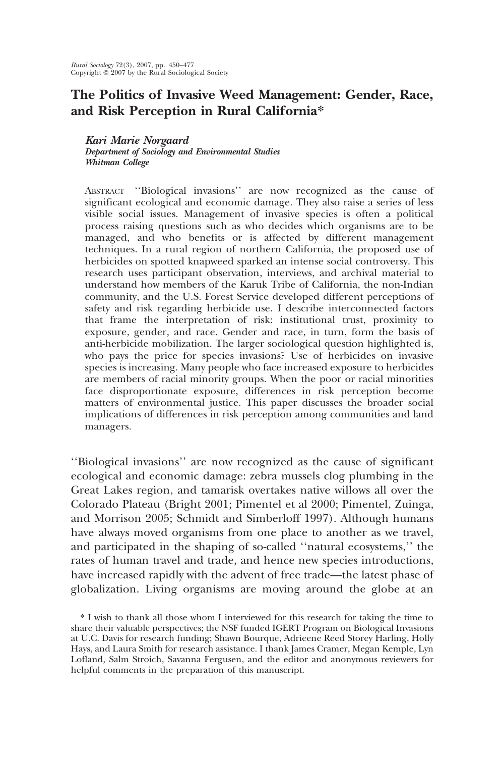# The Politics of Invasive Weed Management: Gender, Race, and Risk Perception in Rural California\*

Kari Marie Norgaard Department of Sociology and Environmental Studies Whitman College

ABSTRACT "Biological invasions" are now recognized as the cause of significant ecological and economic damage. They also raise a series of less visible social issues. Management of invasive species is often a political process raising questions such as who decides which organisms are to be managed, and who benefits or is affected by different management techniques. In a rural region of northern California, the proposed use of herbicides on spotted knapweed sparked an intense social controversy. This research uses participant observation, interviews, and archival material to understand how members of the Karuk Tribe of California, the non-Indian community, and the U.S. Forest Service developed different perceptions of safety and risk regarding herbicide use. I describe interconnected factors that frame the interpretation of risk: institutional trust, proximity to exposure, gender, and race. Gender and race, in turn, form the basis of anti-herbicide mobilization. The larger sociological question highlighted is, who pays the price for species invasions? Use of herbicides on invasive species is increasing. Many people who face increased exposure to herbicides are members of racial minority groups. When the poor or racial minorities face disproportionate exposure, differences in risk perception become matters of environmental justice. This paper discusses the broader social implications of differences in risk perception among communities and land managers.

"Biological invasions" are now recognized as the cause of significant ecological and economic damage: zebra mussels clog plumbing in the Great Lakes region, and tamarisk overtakes native willows all over the Colorado Plateau (Bright 2001; Pimentel et al 2000; Pimentel, Zuinga, and Morrison 2005; Schmidt and Simberloff 1997). Although humans have always moved organisms from one place to another as we travel, and participated in the shaping of so-called "natural ecosystems," the rates of human travel and trade, and hence new species introductions, have increased rapidly with the advent of free trade-the latest phase of globalization. Living organisms are moving around the globe at an

<sup>\*</sup> I wish to thank all those whom I interviewed for this research for taking the time to share their valuable perspectives; the NSF funded IGERT Program on Biological Invasions at U.C. Davis for research funding; Shawn Bourque, Adrieene Reed Storey Harling, Holly Hays, and Laura Smith for research assistance. I thank James Cramer, Megan Kemple, Lyn Lofland, Salm Stroich, Savanna Fergusen, and the editor and anonymous reviewers for helpful comments in the preparation of this manuscript.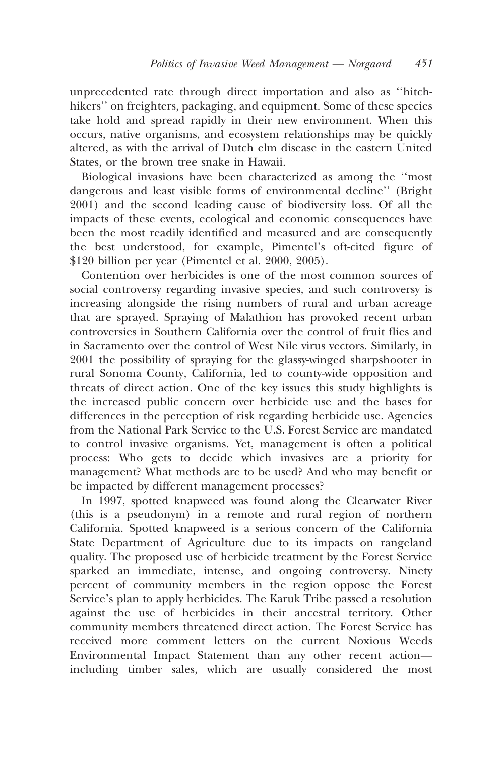unprecedented rate through direct importation and also as "hitchhikers" on freighters, packaging, and equipment. Some of these species take hold and spread rapidly in their new environment. When this occurs, native organisms, and ecosystem relationships may be quickly altered, as with the arrival of Dutch elm disease in the eastern United States, or the brown tree snake in Hawaii.

Biological invasions have been characterized as among the "most" dangerous and least visible forms of environmental decline" (Bright 2001) and the second leading cause of biodiversity loss. Of all the impacts of these events, ecological and economic consequences have been the most readily identified and measured and are consequently the best understood, for example, Pimentel's oft-cited figure of \$120 billion per year (Pimentel et al. 2000, 2005).

Contention over herbicides is one of the most common sources of social controversy regarding invasive species, and such controversy is increasing alongside the rising numbers of rural and urban acreage that are sprayed. Spraying of Malathion has provoked recent urban controversies in Southern California over the control of fruit flies and in Sacramento over the control of West Nile virus vectors. Similarly, in 2001 the possibility of spraying for the glassy-winged sharpshooter in rural Sonoma County, California, led to county-wide opposition and threats of direct action. One of the key issues this study highlights is the increased public concern over herbicide use and the bases for differences in the perception of risk regarding herbicide use. Agencies from the National Park Service to the U.S. Forest Service are mandated to control invasive organisms. Yet, management is often a political process: Who gets to decide which invasives are a priority for management? What methods are to be used? And who may benefit or be impacted by different management processes?

In 1997, spotted knapweed was found along the Clearwater River (this is a pseudonym) in a remote and rural region of northern California. Spotted knapweed is a serious concern of the California State Department of Agriculture due to its impacts on rangeland quality. The proposed use of herbicide treatment by the Forest Service sparked an immediate, intense, and ongoing controversy. Ninety percent of community members in the region oppose the Forest Service's plan to apply herbicides. The Karuk Tribe passed a resolution against the use of herbicides in their ancestral territory. Other community members threatened direct action. The Forest Service has received more comment letters on the current Noxious Weeds Environmental Impact Statement than any other recent actionincluding timber sales, which are usually considered the most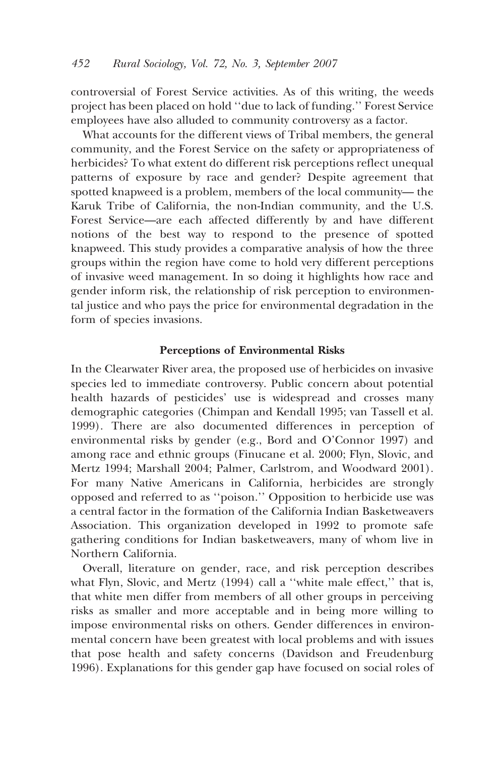controversial of Forest Service activities. As of this writing, the weeds project has been placed on hold "due to lack of funding." Forest Service employees have also alluded to community controversy as a factor.

What accounts for the different views of Tribal members, the general community, and the Forest Service on the safety or appropriateness of herbicides? To what extent do different risk perceptions reflect unequal patterns of exposure by race and gender? Despite agreement that spotted knapweed is a problem, members of the local community—the Karuk Tribe of California, the non-Indian community, and the U.S. Forest Service-are each affected differently by and have different notions of the best way to respond to the presence of spotted knapweed. This study provides a comparative analysis of how the three groups within the region have come to hold very different perceptions of invasive weed management. In so doing it highlights how race and gender inform risk, the relationship of risk perception to environmental justice and who pays the price for environmental degradation in the form of species invasions.

#### **Perceptions of Environmental Risks**

In the Clearwater River area, the proposed use of herbicides on invasive species led to immediate controversy. Public concern about potential health hazards of pesticides' use is widespread and crosses many demographic categories (Chimpan and Kendall 1995; van Tassell et al. 1999). There are also documented differences in perception of environmental risks by gender (e.g., Bord and O'Connor 1997) and among race and ethnic groups (Finucane et al. 2000; Flyn, Slovic, and Mertz 1994; Marshall 2004; Palmer, Carlstrom, and Woodward 2001). For many Native Americans in California, herbicides are strongly opposed and referred to as "poison." Opposition to herbicide use was a central factor in the formation of the California Indian Basketweavers Association. This organization developed in 1992 to promote safe gathering conditions for Indian basketweavers, many of whom live in Northern California.

Overall, literature on gender, race, and risk perception describes what Flyn, Slovic, and Mertz (1994) call a "white male effect," that is, that white men differ from members of all other groups in perceiving risks as smaller and more acceptable and in being more willing to impose environmental risks on others. Gender differences in environmental concern have been greatest with local problems and with issues that pose health and safety concerns (Davidson and Freudenburg 1996). Explanations for this gender gap have focused on social roles of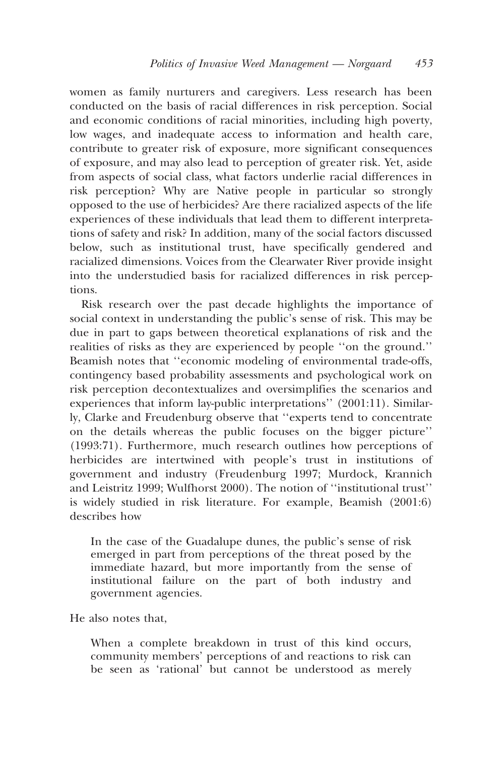women as family nurturers and caregivers. Less research has been conducted on the basis of racial differences in risk perception. Social and economic conditions of racial minorities, including high poverty, low wages, and inadequate access to information and health care, contribute to greater risk of exposure, more significant consequences of exposure, and may also lead to perception of greater risk. Yet, aside from aspects of social class, what factors underlie racial differences in risk perception? Why are Native people in particular so strongly opposed to the use of herbicides? Are there racialized aspects of the life experiences of these individuals that lead them to different interpretations of safety and risk? In addition, many of the social factors discussed below, such as institutional trust, have specifically gendered and racialized dimensions. Voices from the Clearwater River provide insight into the understudied basis for racialized differences in risk perceptions.

Risk research over the past decade highlights the importance of social context in understanding the public's sense of risk. This may be due in part to gaps between theoretical explanations of risk and the realities of risks as they are experienced by people "on the ground." Beamish notes that "economic modeling of environmental trade-offs, contingency based probability assessments and psychological work on risk perception decontextualizes and oversimplifies the scenarios and experiences that inform lay-public interpretations" (2001:11). Similarly, Clarke and Freudenburg observe that "experts tend to concentrate on the details whereas the public focuses on the bigger picture" (1993:71). Furthermore, much research outlines how perceptions of herbicides are intertwined with people's trust in institutions of government and industry (Freudenburg 1997; Murdock, Krannich and Leistritz 1999; Wulfhorst 2000). The notion of "institutional trust" is widely studied in risk literature. For example, Beamish (2001:6) describes how

In the case of the Guadalupe dunes, the public's sense of risk<br>emerged in part from perceptions of the threat posed by the immediate hazard, but more importantly from the sense of institutional failure on the part of both industry and government agencies.

He also notes that,

When a complete breakdown in trust of this kind occurs, community members' perceptions of and reactions to risk can<br>be seen as 'rational' but cannot be understood as merely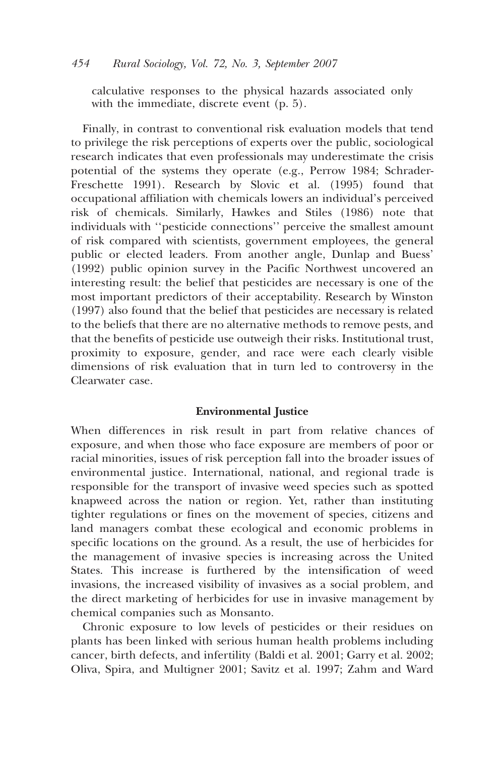calculative responses to the physical hazards associated only with the immediate, discrete event  $(p, 5)$ .

Finally, in contrast to conventional risk evaluation models that tend to privilege the risk perceptions of experts over the public, sociological research indicates that even professionals may underestimate the crisis potential of the systems they operate (e.g., Perrow 1984; Schrader-Freschette 1991). Research by Slovic et al. (1995) found that occupational affiliation with chemicals lowers an individual's perceived risk of chemicals. Similarly, Hawkes and Stiles (1986) note that individuals with "pesticide connections" perceive the smallest amount of risk compared with scientists, government employees, the general public or elected leaders. From another angle, Dunlap and Buess' (1992) public opinion survey in the Pacific Northwest uncovered an interesting result: the belief that pesticides are necessary is one of the most important predictors of their acceptability. Research by Winston (1997) also found that the belief that pesticides are necessary is related to the beliefs that there are no alternative methods to remove pests, and that the benefits of pesticide use outweigh their risks. Institutional trust, proximity to exposure, gender, and race were each clearly visible dimensions of risk evaluation that in turn led to controversy in the Clearwater case

#### **Environmental Justice**

When differences in risk result in part from relative chances of exposure, and when those who face exposure are members of poor or racial minorities, issues of risk perception fall into the broader issues of environmental justice. International, national, and regional trade is responsible for the transport of invasive weed species such as spotted knapweed across the nation or region. Yet, rather than instituting tighter regulations or fines on the movement of species, citizens and land managers combat these ecological and economic problems in specific locations on the ground. As a result, the use of herbicides for the management of invasive species is increasing across the United States. This increase is furthered by the intensification of weed invasions, the increased visibility of invasives as a social problem, and the direct marketing of herbicides for use in invasive management by chemical companies such as Monsanto.

Chronic exposure to low levels of pesticides or their residues on plants has been linked with serious human health problems including cancer, birth defects, and infertility (Baldi et al. 2001; Garry et al. 2002; Oliva, Spira, and Multigner 2001; Savitz et al. 1997; Zahm and Ward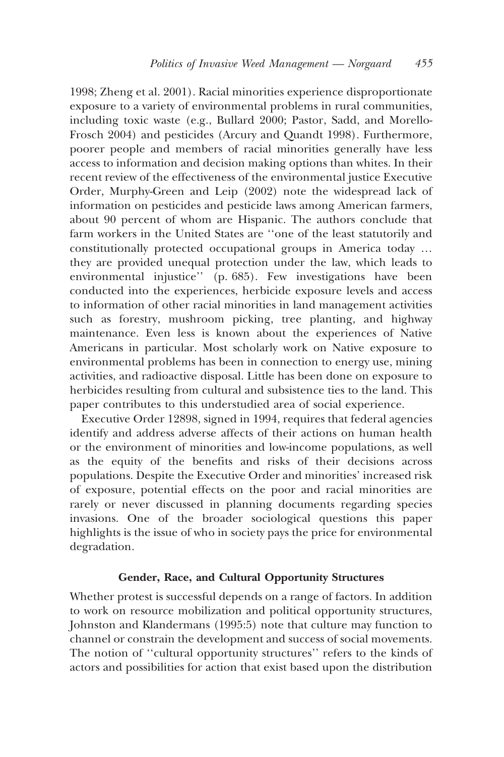1998; Zheng et al. 2001). Racial minorities experience disproportionate exposure to a variety of environmental problems in rural communities, including toxic waste (e.g., Bullard 2000; Pastor, Sadd, and Morello-Frosch 2004) and pesticides (Arcury and Quandt 1998). Furthermore, poorer people and members of racial minorities generally have less access to information and decision making options than whites. In their recent review of the effectiveness of the environmental justice Executive Order, Murphy-Green and Leip (2002) note the widespread lack of information on pesticides and pesticide laws among American farmers, about 90 percent of whom are Hispanic. The authors conclude that farm workers in the United States are "one of the least statutorily and constitutionally protected occupational groups in America today ... they are provided unequal protection under the law, which leads to environmental injustice" (p. 685). Few investigations have been conducted into the experiences, herbicide exposure levels and access to information of other racial minorities in land management activities such as forestry, mushroom picking, tree planting, and highway maintenance. Even less is known about the experiences of Native Americans in particular. Most scholarly work on Native exposure to environmental problems has been in connection to energy use, mining activities, and radioactive disposal. Little has been done on exposure to herbicides resulting from cultural and subsistence ties to the land. This paper contributes to this understudied area of social experience.

Executive Order 12898, signed in 1994, requires that federal agencies identify and address adverse affects of their actions on human health or the environment of minorities and low-income populations, as well as the equity of the benefits and risks of their decisions across populations. Despite the Executive Order and minorities' increased risk of exposure, potential effects on the poor and racial minorities are rarely or never discussed in planning documents regarding species invasions. One of the broader sociological questions this paper highlights is the issue of who in society pays the price for environmental degradation.

### Gender, Race, and Cultural Opportunity Structures

Whether protest is successful depends on a range of factors. In addition to work on resource mobilization and political opportunity structures, Johnston and Klandermans (1995:5) note that culture may function to channel or constrain the development and success of social movements. The notion of "cultural opportunity structures" refers to the kinds of actors and possibilities for action that exist based upon the distribution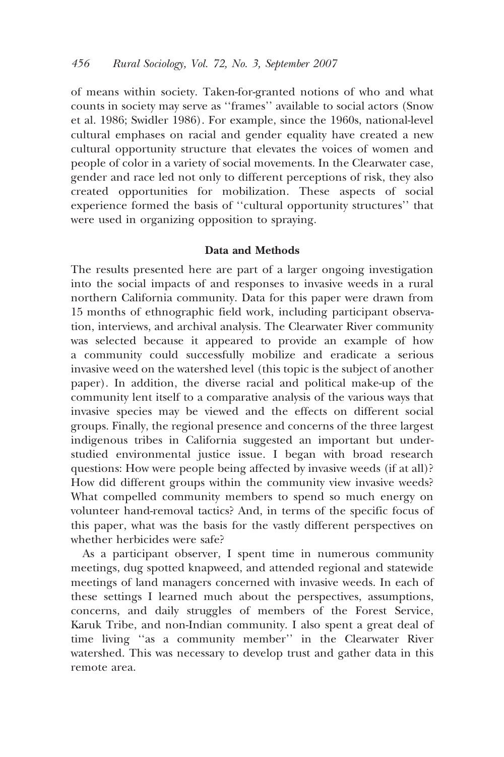of means within society. Taken-for-granted notions of who and what counts in society may serve as "frames" available to social actors (Snow et al. 1986; Swidler 1986). For example, since the 1960s, national-level cultural emphases on racial and gender equality have created a new cultural opportunity structure that elevates the voices of women and people of color in a variety of social movements. In the Clearwater case, gender and race led not only to different perceptions of risk, they also created opportunities for mobilization. These aspects of social experience formed the basis of "cultural opportunity structures" that were used in organizing opposition to spraying.

#### Data and Methods

The results presented here are part of a larger ongoing investigation into the social impacts of and responses to invasive weeds in a rural northern California community. Data for this paper were drawn from 15 months of ethnographic field work, including participant observation, interviews, and archival analysis. The Clearwater River community was selected because it appeared to provide an example of how a community could successfully mobilize and eradicate a serious invasive weed on the watershed level (this topic is the subject of another paper). In addition, the diverse racial and political make-up of the community lent itself to a comparative analysis of the various ways that invasive species may be viewed and the effects on different social groups. Finally, the regional presence and concerns of the three largest indigenous tribes in California suggested an important but understudied environmental justice issue. I began with broad research questions: How were people being affected by invasive weeds (if at all)? How did different groups within the community view invasive weeds? What compelled community members to spend so much energy on volunteer hand-removal tactics? And, in terms of the specific focus of this paper, what was the basis for the vastly different perspectives on whether herbicides were safe?

As a participant observer, I spent time in numerous community meetings, dug spotted knapweed, and attended regional and statewide meetings of land managers concerned with invasive weeds. In each of these settings I learned much about the perspectives, assumptions, concerns, and daily struggles of members of the Forest Service, Karuk Tribe, and non-Indian community. I also spent a great deal of time living "as a community member" in the Clearwater River watershed. This was necessary to develop trust and gather data in this remote area.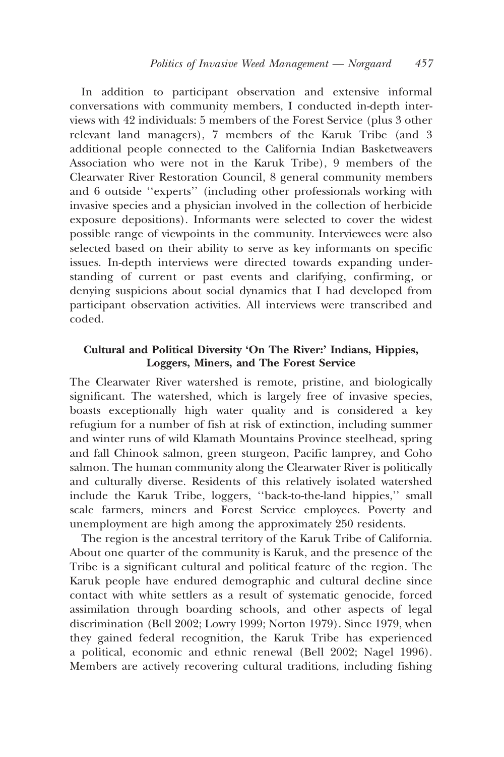In addition to participant observation and extensive informal conversations with community members, I conducted in-depth interviews with 42 individuals: 5 members of the Forest Service (plus 3 other relevant land managers), 7 members of the Karuk Tribe (and 3 additional people connected to the California Indian Basketweavers Association who were not in the Karuk Tribe). 9 members of the Clearwater River Restoration Council, 8 general community members and 6 outside "experts" (including other professionals working with invasive species and a physician involved in the collection of herbicide exposure depositions). Informants were selected to cover the widest possible range of viewpoints in the community. Interviewees were also selected based on their ability to serve as key informants on specific issues. In-depth interviews were directed towards expanding understanding of current or past events and clarifying, confirming, or denying suspicions about social dynamics that I had developed from participant observation activities. All interviews were transcribed and  $code$ 

## Cultural and Political Diversity 'On The River:' Indians, Hippies, Loggers, Miners, and The Forest Service

The Clearwater River watershed is remote, pristine, and biologically significant. The watershed, which is largely free of invasive species, boasts exceptionally high water quality and is considered a key refugium for a number of fish at risk of extinction, including summer and winter runs of wild Klamath Mountains Province steelhead, spring and fall Chinook salmon, green sturgeon, Pacific lamprey, and Coho salmon. The human community along the Clearwater River is politically and culturally diverse. Residents of this relatively isolated watershed include the Karuk Tribe, loggers, "back-to-the-land hippies," small scale farmers, miners and Forest Service employees. Poverty and unemployment are high among the approximately 250 residents.

The region is the ancestral territory of the Karuk Tribe of California. About one quarter of the community is Karuk, and the presence of the Tribe is a significant cultural and political feature of the region. The Karuk people have endured demographic and cultural decline since contact with white settlers as a result of systematic genocide, forced assimilation through boarding schools, and other aspects of legal discrimination (Bell 2002; Lowry 1999; Norton 1979). Since 1979, when they gained federal recognition, the Karuk Tribe has experienced a political, economic and ethnic renewal (Bell 2002; Nagel 1996). Members are actively recovering cultural traditions, including fishing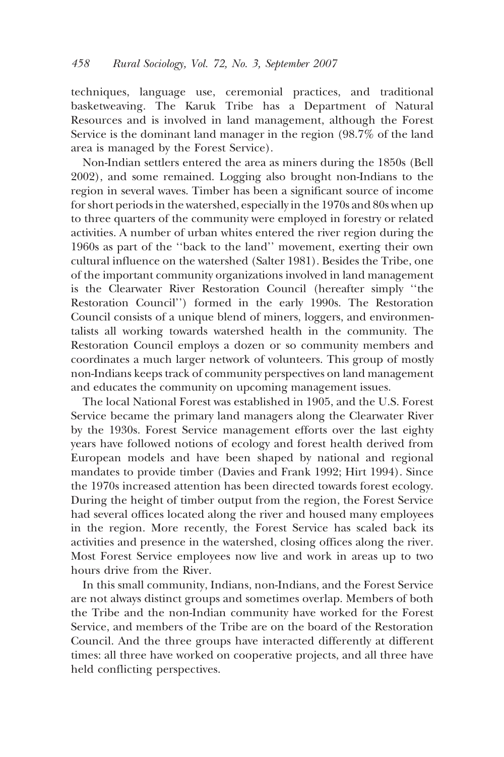techniques, language use, ceremonial practices, and traditional<br>basketweaving. The Karuk Tribe has a Department of Natural Resources and is involved in land management, although the Forest Service is the dominant land manager in the region  $(98.7\%$  of the land area is managed by the Forest Service).

Non-Indian settlers entered the area as miners during the 1850s (Bell 2002), and some remained. Logging also brought non-Indians to the region in several waves. Timber has been a significant source of income for short periods in the watershed, especially in the 1970s and 80s when up to three quarters of the community were employed in forestry or related activities. A number of urban whites entered the river region during the 1960s as part of the "back to the land" movement, exerting their own cultural influence on the watershed (Salter 1981). Besides the Tribe, one of the important community organizations involved in land management is the Clearwater River Restoration Council (hereafter simply "the Restoration Council") formed in the early 1990s. The Restoration Council consists of a unique blend of miners, loggers, and environmentalists all working towards watershed health in the community. The Restoration Council employs a dozen or so community members and coordinates a much larger network of volunteers. This group of mostly non-Indians keeps track of community perspectives on land management and educates the community on upcoming management issues.

The local National Forest was established in 1905, and the U.S. Forest Service became the primary land managers along the Clearwater River by the 1930s. Forest Service management efforts over the last eighty years have followed notions of ecology and forest health derived from European models and have been shaped by national and regional mandates to provide timber (Davies and Frank 1992; Hirt 1994). Since the 1970s increased attention has been directed towards forest ecology. During the height of timber output from the region, the Forest Service had several offices located along the river and housed many employees in the region. More recently, the Forest Service has scaled back its activities and presence in the watershed, closing offices along the river. Most Forest Service employees now live and work in areas up to two hours drive from the River.

In this small community, Indians, non-Indians, and the Forest Service are not always distinct groups and sometimes overlap. Members of both the Tribe and the non-Indian community have worked for the Forest Service, and members of the Tribe are on the board of the Restoration Council. And the three groups have interacted differently at different times: all three have worked on cooperative projects, and all three have held conflicting perspectives.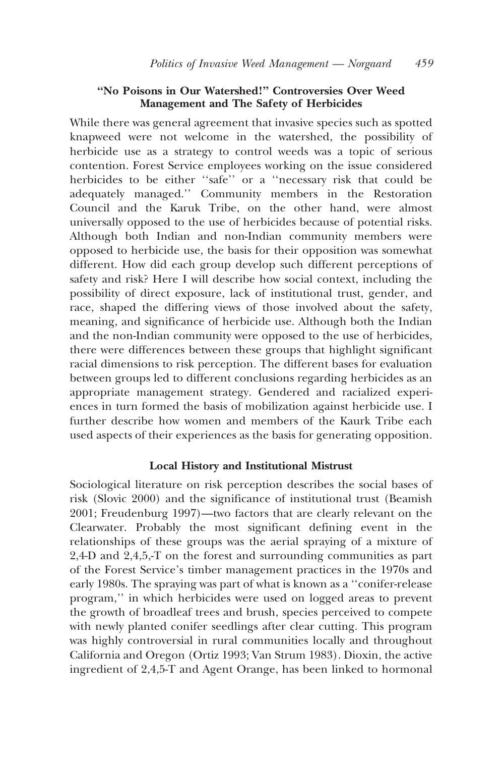#### "No Poisons in Our Watershed!" Controversies Over Weed Management and The Safety of Herbicides

While there was general agreement that invasive species such as spotted knapweed were not welcome in the watershed, the possibility of herbicide use as a strategy to control weeds was a topic of serious contention. Forest Service employees working on the issue considered herbicides to be either "safe" or a "necessary risk that could be adequately managed." Community members in the Restoration Council and the Karuk Tribe, on the other hand, were almost universally opposed to the use of herbicides because of potential risks. Although both Indian and non-Indian community members were opposed to herbicide use, the basis for their opposition was somewhat different. How did each group develop such different perceptions of safety and risk? Here I will describe how social context, including the possibility of direct exposure, lack of institutional trust, gender, and race, shaped the differing views of those involved about the safety, meaning, and significance of herbicide use. Although both the Indian and the non-Indian community were opposed to the use of herbicides, there were differences between these groups that highlight significant racial dimensions to risk perception. The different bases for evaluation between groups led to different conclusions regarding herbicides as an appropriate management strategy. Gendered and racialized experiences in turn formed the basis of mobilization against herbicide use. I further describe how women and members of the Kaurk Tribe each used aspects of their experiences as the basis for generating opposition.

#### **Local History and Institutional Mistrust**

Sociological literature on risk perception describes the social bases of risk (Slovic 2000) and the significance of institutional trust (Beamish 2001; Freudenburg 1997)—two factors that are clearly relevant on the Clearwater. Probably the most significant defining event in the relationships of these groups was the aerial spraying of a mixture of  $2,4$ D and  $2,4,5,$ T on the forest and surrounding communities as part of the Forest Service's timber management practices in the 1970s and early 1980s. The spraying was part of what is known as a "conifer-release program," in which herbicides were used on logged areas to prevent the growth of broadleaf trees and brush, species perceived to compete with newly planted conifer seedlings after clear cutting. This program was highly controversial in rural communities locally and throughout California and Oregon (Ortiz 1993; Van Strum 1983). Dioxin, the active ingredient of 2,4,5-T and Agent Orange, has been linked to hormonal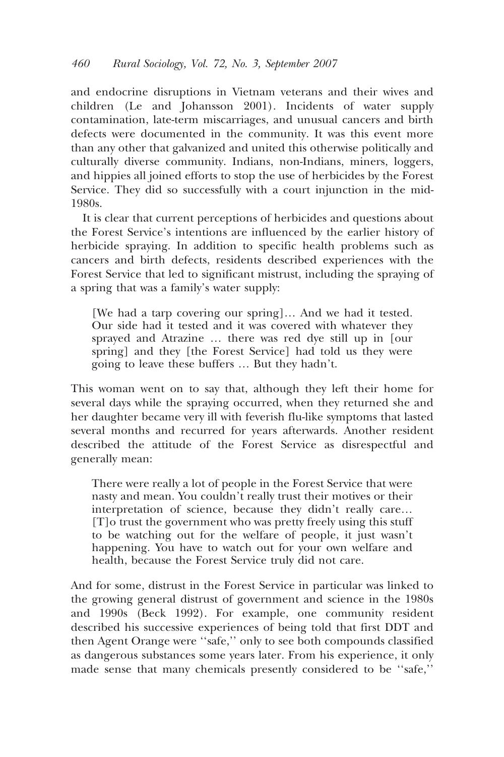and endocrine disruptions in Vietnam veterans and their wives and children (Le and Johansson 2001). Incidents of water supply contamination, late-term miscarriages, and unusual cancers and birth defects were documented in the community. It was this event more than any other that galvanized and united this otherwise politically and culturally diverse community. Indians, non-Indians, miners, loggers, and hippies all joined efforts to stop the use of herbicides by the Forest Service. They did so successfully with a court injunction in the mid-1980s

It is clear that current perceptions of herbicides and questions about the Forest Service's intentions are influenced by the earlier history of herbicide spraying. In addition to specific health problems such as cancers and birth defects, residents described experiences with the Forest Service that led to significant mistrust, including the spraying of a spring that was a family's water supply:

[We had a tarp covering our spring]... And we had it tested. Our side had it tested and it was covered with whatever they sprayed and Atrazine ... there was red dye still up in [our spring] and they [the Forest Service] had told us they were going to leave these buffers ... But they hadn't.

This woman went on to say that, although they left their home for several days while the spraying occurred, when they returned she and her daughter became very ill with feverish flu-like symptoms that lasted several months and recurred for years afterwards. Another resident described the attitude of the Forest Service as disrespectful and generally mean:

There were really a lot of people in the Forest Service that were nasty and mean. You couldn't really trust their motives or their interpretation of science, because they didn't really care... [T]o trust the government who was pretty freely using this stuff to be watching out for the welfare of people, it just wasn't happening. You have to watch out for your own welfare and health, because the Forest Service truly did not care.

And for some, distrust in the Forest Service in particular was linked to the growing general distrust of government and science in the 1980s and 1990s (Beck 1992). For example, one community resident described his successive experiences of being told that first DDT and then Agent Orange were "safe," only to see both compounds classified as dangerous substances some years later. From his experience, it only made sense that many chemicals presently considered to be "safe,"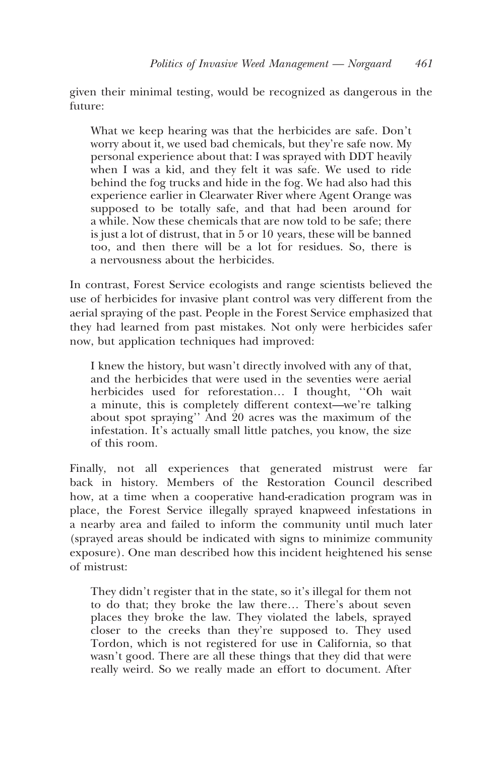given their minimal testing, would be recognized as dangerous in the future<sup>.</sup>

What we keep hearing was that the herbicides are safe. Don't worry about it, we used bad chemicals, but they're safe now. My personal experience about that: I was sprayed with DDT heavily when I was a kid, and they felt it was safe. We used to ride behind the fog trucks and hide in the fog. We had also had this experience earlier in Clearwater River where Agent Orange was supposed to be totally safe, and that had been around for a while. Now these chemicals that are now told to be safe; there is just a lot of distrust, that in 5 or 10 years, these will be banned too, and then there will be a lot for residues. So, there is a nervousness about the herbicides

In contrast, Forest Service ecologists and range scientists believed the use of herbicides for invasive plant control was very different from the aerial spraying of the past. People in the Forest Service emphasized that they had learned from past mistakes. Not only were herbicides safer now, but application techniques had improved:

I knew the history, but wasn't directly involved with any of that, and the herbicides that were used in the seventies were aerial herbicides used for reforestation... I thought, "Oh wait a minute, this is completely different context-we're talking about spot spraying" And  $20$  acres was the maximum of the infestation. It's actually small little patches, you know, the size of this room.

Finally, not all experiences that generated mistrust were far back in history. Members of the Restoration Council described how, at a time when a cooperative hand-eradication program was in place, the Forest Service illegally sprayed knapweed infestations in a nearby area and failed to inform the community until much later (sprayed areas should be indicated with signs to minimize community exposure). One man described how this incident heightened his sense of mistrust:

They didn't register that in the state, so it's illegal for them not to do that; they broke the law there... There's about seven places they broke the law. They violated the labels, sprayed closer to the creeks than they're supposed to. They used Tordon, which is not registered for use in California, so that wasn't good. There are all these things that they did that were really weird. So we really made an effort to document. After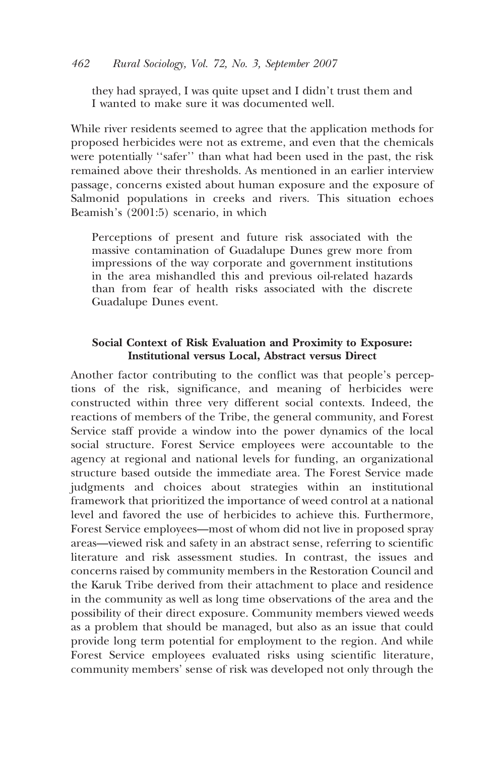they had sprayed, I was quite upset and I didn't trust them and I wanted to make sure it was documented well.

While river residents seemed to agree that the application methods for proposed herbicides were not as extreme, and even that the chemicals were potentially "safer" than what had been used in the past, the risk remained above their thresholds. As mentioned in an earlier interview passage, concerns existed about human exposure and the exposure of Salmonid populations in creeks and rivers. This situation echoes Beamish's  $(2001:5)$  scenario, in which

Perceptions of present and future risk associated with the massive contamination of Guadalupe Dunes grew more from impressions of the way corporate and government institutions in the area mishandled this and previous oil-related hazards than from fear of health risks associated with the discrete Guadalupe Dunes event.

### Social Context of Risk Evaluation and Proximity to Exposure: **Institutional versus Local, Abstract versus Direct**

Another factor contributing to the conflict was that people's perceptions of the risk, significance, and meaning of herbicides were constructed within three very different social contexts. Indeed, the reactions of members of the Tribe, the general community, and Forest Service staff provide a window into the power dynamics of the local social structure. Forest Service employees were accountable to the agency at regional and national levels for funding, an organizational structure based outside the immediate area. The Forest Service made judgments and choices about strategies within an institutional framework that prioritized the importance of weed control at a national level and favored the use of herbicides to achieve this. Furthermore, Forest Service employees—most of whom did not live in proposed spray areas—viewed risk and safety in an abstract sense, referring to scientific literature and risk assessment studies. In contrast, the issues and concerns raised by community members in the Restoration Council and the Karuk Tribe derived from their attachment to place and residence in the community as well as long time observations of the area and the possibility of their direct exposure. Community members viewed weeds as a problem that should be managed, but also as an issue that could provide long term potential for employment to the region. And while Forest Service employees evaluated risks using scientific literature, community members' sense of risk was developed not only through the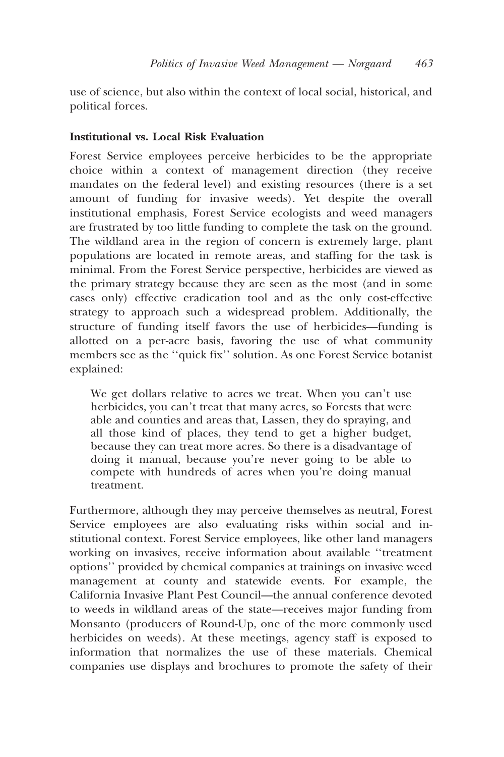use of science, but also within the context of local social, historical, and political forces.

## **Institutional vs. Local Risk Evaluation**

Forest Service employees perceive herbicides to be the appropriate choice within a context of management direction (they receive mandates on the federal level) and existing resources (there is a set amount of funding for invasive weeds). Yet despite the overall institutional emphasis, Forest Service ecologists and weed managers are frustrated by too little funding to complete the task on the ground. The wildland area in the region of concern is extremely large, plant populations are located in remote areas, and staffing for the task is minimal. From the Forest Service perspective, herbicides are viewed as the primary strategy because they are seen as the most (and in some cases only) effective eradication tool and as the only cost-effective strategy to approach such a widespread problem. Additionally, the structure of funding itself favors the use of herbicides-funding is allotted on a per-acre basis, favoring the use of what community members see as the "quick fix" solution. As one Forest Service botanist explained:

We get dollars relative to acres we treat. When you can't use herbicides, you can't treat that many acres, so Forests that were able and counties and areas that, Lassen, they do spraying, and all those kind of places, they tend to get a higher budget, because they can treat more acres. So there is a disadvantage of doing it manual, because you're never going to be able to compete with hundreds of acres when you're doing manual treatment.

Furthermore, although they may perceive themselves as neutral, Forest Service employees are also evaluating risks within social and institutional context. Forest Service employees, like other land managers working on invasives, receive information about available "treatment options" provided by chemical companies at trainings on invasive weed management at county and statewide events. For example, the California Invasive Plant Pest Council-the annual conference devoted to weeds in wildland areas of the state—receives major funding from Monsanto (producers of Round-Up, one of the more commonly used herbicides on weeds). At these meetings, agency staff is exposed to information that normalizes the use of these materials. Chemical companies use displays and brochures to promote the safety of their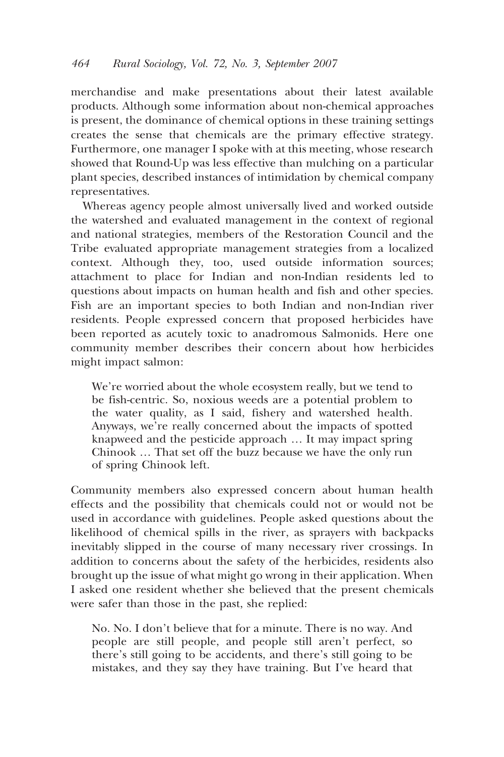merchandise and make presentations about their latest available products. Although some information about non-chemical approaches is present, the dominance of chemical options in these training settings creates the sense that chemicals are the primary effective strategy. Furthermore, one manager I spoke with at this meeting, whose research showed that Round-Up was less effective than mulching on a particular plant species, described instances of intimidation by chemical company representatives.

Whereas agency people almost universally lived and worked outside the watershed and evaluated management in the context of regional and national strategies, members of the Restoration Council and the Tribe evaluated appropriate management strategies from a localized context. Although they, too, used outside information sources; attachment to place for Indian and non-Indian residents led to questions about impacts on human health and fish and other species. Fish are an important species to both Indian and non-Indian river residents. People expressed concern that proposed herbicides have been reported as acutely toxic to anadromous Salmonids. Here one community member describes their concern about how herbicides might impact salmon:

We're worried about the whole ecosystem really, but we tend to be fish-centric. So, noxious weeds are a potential problem to the water quality, as I said, fishery and watershed health. Anyways, we're really concerned about the impacts of spotted knapweed and the pesticide approach ... It may impact spring Chinook ... That set off the buzz because we have the only run of spring Chinook left.

Community members also expressed concern about human health effects and the possibility that chemicals could not or would not be used in accordance with guidelines. People asked questions about the likelihood of chemical spills in the river, as sprayers with backpacks inevitably slipped in the course of many necessary river crossings. In addition to concerns about the safety of the herbicides, residents also brought up the issue of what might go wrong in their application. When I asked one resident whether she believed that the present chemicals were safer than those in the past, she replied:

No. No. I don't believe that for a minute. There is no way. And people are still people, and people still aren't perfect, so there's still going to be accidents, and there's still going to be mistakes, and they say they have training. But I've heard that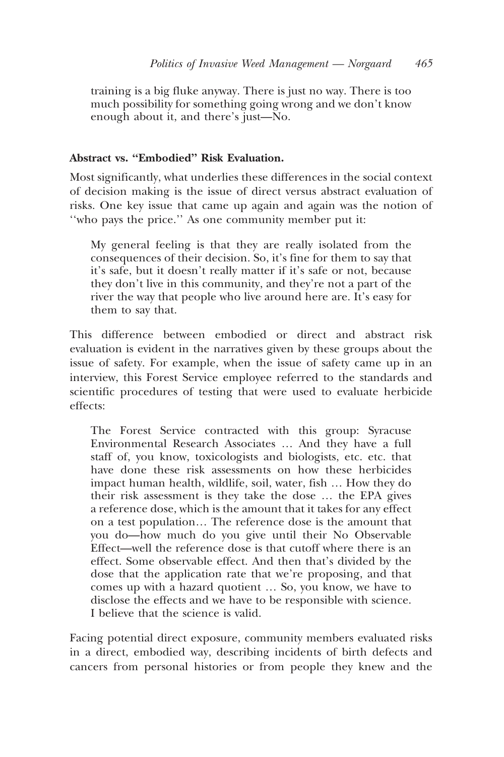training is a big fluke anyway. There is just no way. There is too much possibility for something going wrong and we don't know enough about it, and there's just-No.

### **Abstract vs. "Embodied" Risk Evaluation.**

Most significantly, what underlies these differences in the social context of decision making is the issue of direct versus abstract evaluation of risks. One key issue that came up again and again was the notion of "who pays the price." As one community member put it:

My general feeling is that they are really isolated from the consequences of their decision. So, it's fine for them to say that it's safe, but it doesn't really matter if it's safe or not, because they don't live in this community, and they're not a part of the river the way that people who live around here are. It's easy for them to say that.

This difference between embodied or direct and abstract risk evaluation is evident in the narratives given by these groups about the issue of safety. For example, when the issue of safety came up in an interview, this Forest Service employee referred to the standards and scientific procedures of testing that were used to evaluate herbicide effects:

The Forest Service contracted with this group: Syracuse Environmental Research Associates ... And they have a full staff of, you know, toxicologists and biologists, etc. etc. that have done these risk assessments on how these herbicides impact human health, wildlife, soil, water, fish ... How they do their risk assessment is they take the dose ... the EPA gives a reference dose, which is the amount that it takes for any effect on a test population... The reference dose is the amount that you do-how much do you give until their No Observable Effect—well the reference dose is that cutoff where there is an effect. Some observable effect. And then that's divided by the dose that the application rate that we're proposing, and that comes up with a hazard quotient ... So, you know, we have to disclose the effects and we have to be responsible with science. I believe that the science is valid.

Facing potential direct exposure, community members evaluated risks in a direct, embodied way, describing incidents of birth defects and cancers from personal histories or from people they knew and the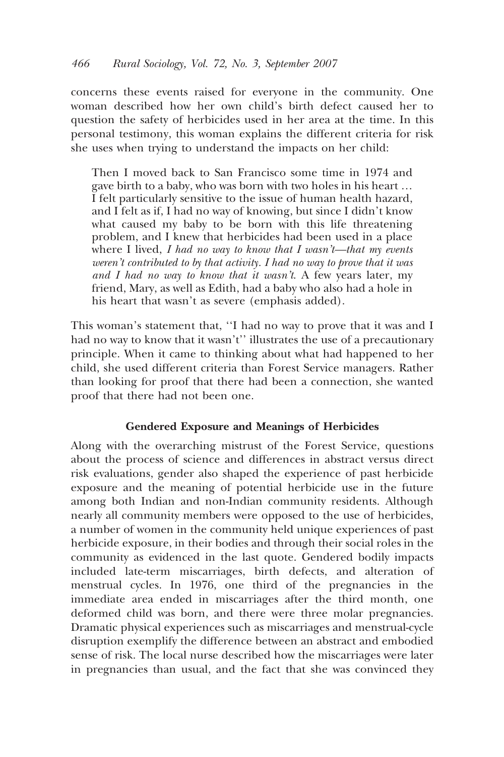concerns these events raised for everyone in the community. One woman described how her own child's birth defect caused her to question the safety of herbicides used in her area at the time. In this personal testimony, this woman explains the different criteria for risk she uses when trying to understand the impacts on her child:

Then I moved back to San Francisco some time in 1974 and gave birth to a baby, who was born with two holes in his heart ... I felt particularly sensitive to the issue of human health hazard, and I felt as if, I had no way of knowing, but since I didn't know what caused my baby to be born with this life threatening problem, and I knew that herbicides had been used in a place where I lived, I had no way to know that I wasn't—that my events weren't contributed to by that activity. I had no way to prove that it was and I had no way to know that it wasn't. A few years later, my friend, Mary, as well as Edith, had a baby who also had a hole in his heart that wasn't as severe (emphasis added).

This woman's statement that, "I had no way to prove that it was and I had no way to know that it wasn't" illustrates the use of a precautionary principle. When it came to thinking about what had happened to her child, she used different criteria than Forest Service managers. Rather than looking for proof that there had been a connection, she wanted proof that there had not been one.

### **Gendered Exposure and Meanings of Herbicides**

Along with the overarching mistrust of the Forest Service, questions about the process of science and differences in abstract versus direct risk evaluations, gender also shaped the experience of past herbicide exposure and the meaning of potential herbicide use in the future among both Indian and non-Indian community residents. Although nearly all community members were opposed to the use of herbicides, a number of women in the community held unique experiences of past herbicide exposure, in their bodies and through their social roles in the community as evidenced in the last quote. Gendered bodily impacts included late-term miscarriages, birth defects, and alteration of menstrual cycles. In 1976, one third of the pregnancies in the immediate area ended in miscarriages after the third month, one deformed child was born, and there were three molar pregnancies. Dramatic physical experiences such as miscarriages and menstrual-cycle disruption exemplify the difference between an abstract and embodied sense of risk. The local nurse described how the miscarriages were later in pregnancies than usual, and the fact that she was convinced they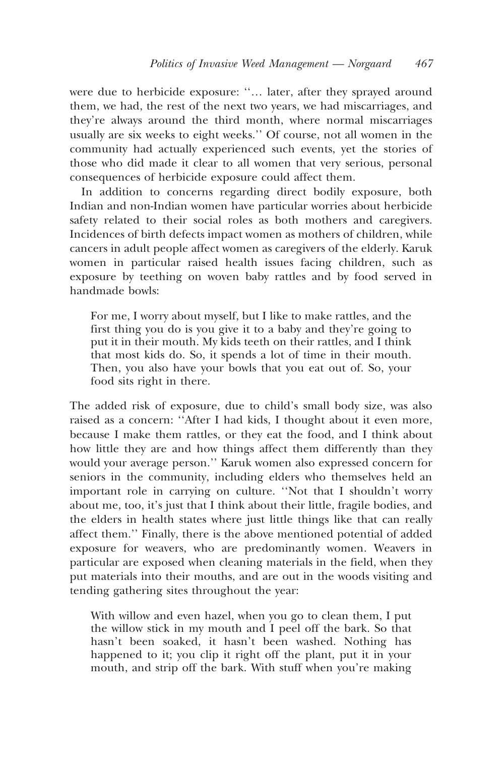were due to herbicide exposure: "... later, after they sprayed around them, we had, the rest of the next two years, we had miscarriages, and they're always around the third month, where normal miscarriages usually are six weeks to eight weeks." Of course, not all women in the community had actually experienced such events, yet the stories of those who did made it clear to all women that very serious, personal consequences of herbicide exposure could affect them.

In addition to concerns regarding direct bodily exposure, both Indian and non-Indian women have particular worries about herbicide safety related to their social roles as both mothers and caregivers. Incidences of birth defects impact women as mothers of children, while cancers in adult people affect women as caregivers of the elderly. Karuk women in particular raised health issues facing children, such as exposure by teething on woven baby rattles and by food served in handmade bowls:

For me, I worry about myself, but I like to make rattles, and the first thing you do is you give it to a baby and they're going to put it in their mouth. My kids teeth on their rattles, and I think that most kids do. So, it spends a lot of time in their mouth. Then, you also have your bowls that you eat out of. So, your food sits right in there.

The added risk of exposure, due to child's small body size, was also raised as a concern: "After I had kids, I thought about it even more, because I make them rattles, or they eat the food, and I think about how little they are and how things affect them differently than they would your average person." Karuk women also expressed concern for seniors in the community, including elders who themselves held an important role in carrying on culture. "Not that I shouldn't worry about me, too, it's just that I think about their little, fragile bodies, and the elders in health states where just little things like that can really affect them." Finally, there is the above mentioned potential of added exposure for weavers, who are predominantly women. Weavers in particular are exposed when cleaning materials in the field, when they put materials into their mouths, and are out in the woods visiting and tending gathering sites throughout the year:

With willow and even hazel, when you go to clean them, I put the willow stick in my mouth and I peel off the bark. So that hasn't been soaked, it hasn't been washed. Nothing has happened to it; you clip it right off the plant, put it in your mouth, and strip off the bark. With stuff when you're making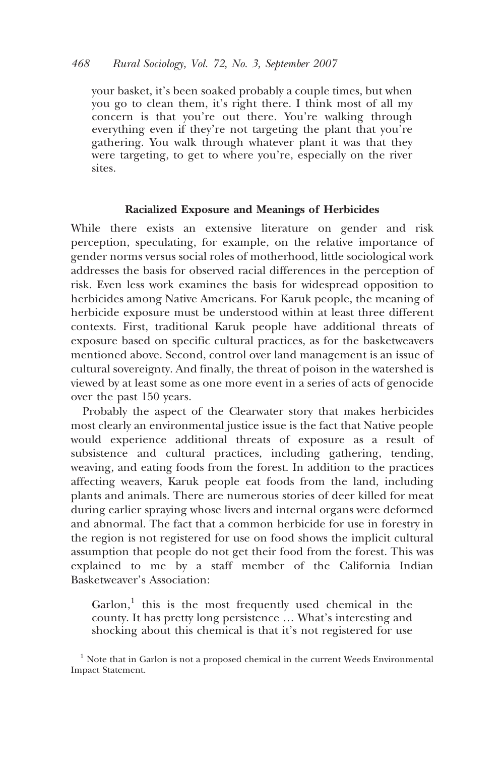your basket, it's been soaked probably a couple times, but when you go to clean them, it's right there. I think most of all my concern is that you're out there. You're walking through everything even if they're not targeting the plant that you're gathering. You walk through whatever plant it was that they were targeting, to get to where you're, especially on the river sites.

### Racialized Exposure and Meanings of Herbicides

While there exists an extensive literature on gender and risk perception, speculating, for example, on the relative importance of gender norms versus social roles of motherhood, little sociological work addresses the basis for observed racial differences in the perception of risk. Even less work examines the basis for widespread opposition to herbicides among Native Americans. For Karuk people, the meaning of herbicide exposure must be understood within at least three different contexts. First, traditional Karuk people have additional threats of exposure based on specific cultural practices, as for the basketweavers mentioned above. Second, control over land management is an issue of cultural sovereignty. And finally, the threat of poison in the watershed is viewed by at least some as one more event in a series of acts of genocide over the past 150 years.

Probably the aspect of the Clearwater story that makes herbicides most clearly an environmental justice issue is the fact that Native people would experience additional threats of exposure as a result of subsistence and cultural practices, including gathering, tending, weaving, and eating foods from the forest. In addition to the practices affecting weavers, Karuk people eat foods from the land, including plants and animals. There are numerous stories of deer killed for meat during earlier spraying whose livers and internal organs were deformed and abnormal. The fact that a common herbicide for use in forestry in the region is not registered for use on food shows the implicit cultural assumption that people do not get their food from the forest. This was explained to me by a staff member of the California Indian Basketweaver's Association:

Garlon,<sup>1</sup> this is the most frequently used chemical in the county. It has pretty long persistence ... What's interesting and shocking about this chemical is that it's not registered for use

 $<sup>1</sup>$  Note that in Garlon is not a proposed chemical in the current Weeds Environmental</sup> Impact Statement.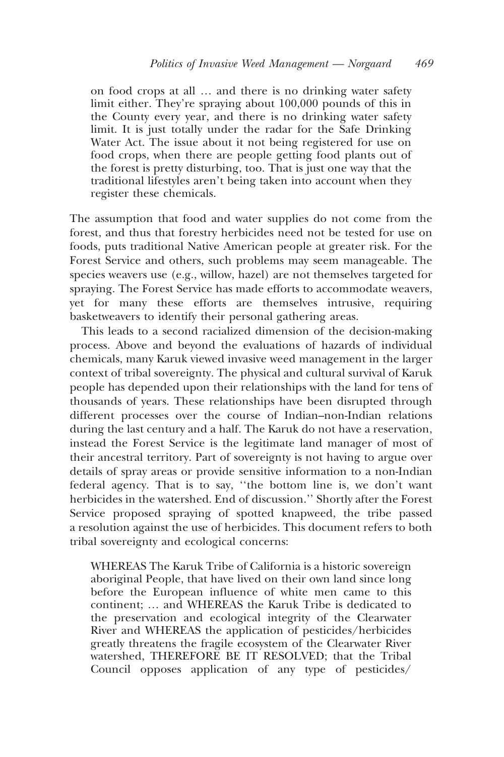on food crops at all ... and there is no drinking water safety limit either. They're spraying about 100,000 pounds of this in the County every year, and there is no drinking water safety limit. It is just totally under the radar for the Safe Drinking Water Act. The issue about it not being registered for use on food crops, when there are people getting food plants out of the forest is pretty disturbing, too. That is just one way that the traditional lifestyles aren't being taken into account when they register these chemicals.

The assumption that food and water supplies do not come from the forest, and thus that forestry herbicides need not be tested for use on foods, puts traditional Native American people at greater risk. For the Forest Service and others, such problems may seem manageable. The species weavers use (e.g., willow, hazel) are not themselves targeted for spraying. The Forest Service has made efforts to accommodate weavers, yet for many these efforts are themselves intrusive, requiring basketweavers to identify their personal gathering areas.

This leads to a second racialized dimension of the decision-making process. Above and beyond the evaluations of hazards of individual chemicals, many Karuk viewed invasive weed management in the larger context of tribal sovereignty. The physical and cultural survival of Karuk people has depended upon their relationships with the land for tens of thousands of years. These relationships have been disrupted through different processes over the course of Indian-non-Indian relations during the last century and a half. The Karuk do not have a reservation, instead the Forest Service is the legitimate land manager of most of their ancestral territory. Part of sovereignty is not having to argue over details of spray areas or provide sensitive information to a non-Indian federal agency. That is to say, "the bottom line is, we don't want herbicides in the watershed. End of discussion." Shortly after the Forest Service proposed spraying of spotted knapweed, the tribe passed a resolution against the use of herbicides. This document refers to both tribal sovereignty and ecological concerns:

WHEREAS The Karuk Tribe of California is a historic sovereign aboriginal People, that have lived on their own land since long before the European influence of white men came to this continent; ... and WHEREAS the Karuk Tribe is dedicated to the preservation and ecological integrity of the Clearwater River and WHEREAS the application of pesticides/herbicides greatly threatens the fragile ecosystem of the Clearwater River watershed, THEREFORE BE IT RESOLVED; that the Tribal Council opposes application of any type of pesticides/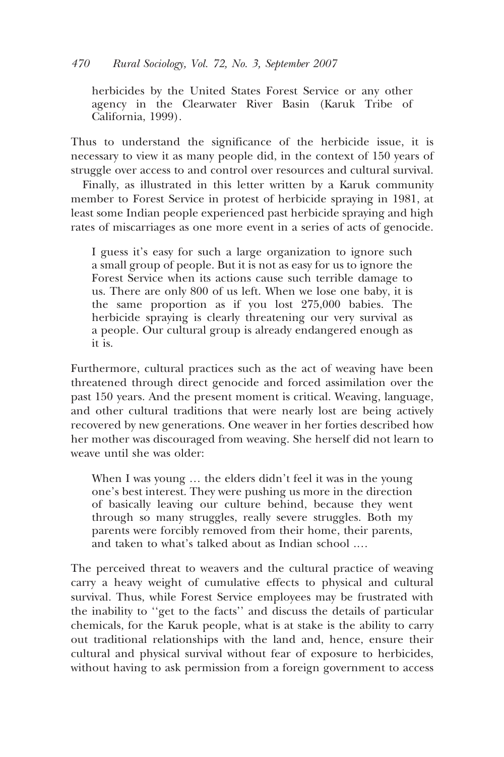herbicides by the United States Forest Service or any other agency in the Clearwater River Basin (Karuk Tribe of California, 1999).

Thus to understand the significance of the herbicide issue, it is necessary to view it as many people did, in the context of 150 years of struggle over access to and control over resources and cultural survival.

Finally, as illustrated in this letter written by a Karuk community member to Forest Service in protest of herbicide spraying in 1981, at least some Indian people experienced past herbicide spraying and high rates of miscarriages as one more event in a series of acts of genocide.

I guess it's easy for such a large organization to ignore such a small group of people. But it is not as easy for us to ignore the Forest Service when its actions cause such terrible damage to us. There are only 800 of us left. When we lose one baby, it is the same proportion as if you lost 275,000 babies. The herbicide spraying is clearly threatening our very survival as a people. Our cultural group is already endangered enough as it is.

Furthermore, cultural practices such as the act of weaving have been threatened through direct genocide and forced assimilation over the past 150 years. And the present moment is critical. Weaving, language, and other cultural traditions that were nearly lost are being actively recovered by new generations. One weaver in her forties described how her mother was discouraged from weaving. She herself did not learn to weave until she was older:

When I was young ... the elders didn't feel it was in the young one's best interest. They were pushing us more in the direction of basically leaving our culture behind, because they went through so many struggles, really severe struggles. Both my parents were forcibly removed from their home, their parents, and taken to what's talked about as Indian school ....

The perceived threat to weavers and the cultural practice of weaving carry a heavy weight of cumulative effects to physical and cultural survival. Thus, while Forest Service employees may be frustrated with the inability to "get to the facts" and discuss the details of particular chemicals, for the Karuk people, what is at stake is the ability to carry out traditional relationships with the land and, hence, ensure their cultural and physical survival without fear of exposure to herbicides, without having to ask permission from a foreign government to access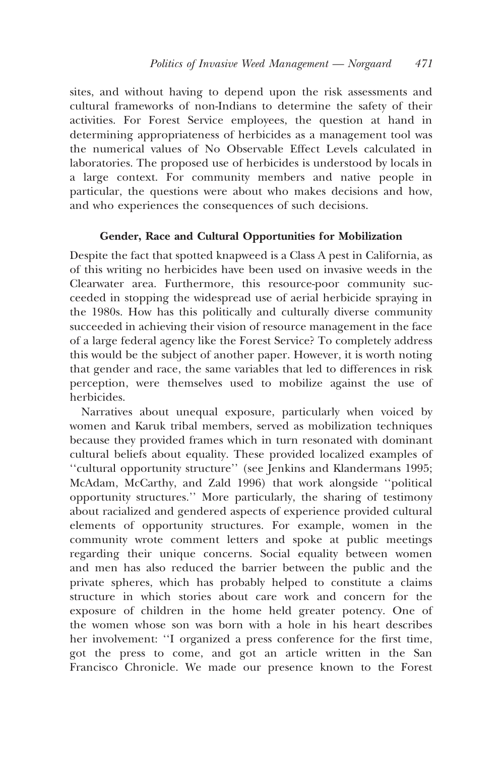sites, and without having to depend upon the risk assessments and cultural frameworks of non-Indians to determine the safety of their activities. For Forest Service employees, the question at hand in determining appropriateness of herbicides as a management tool was the numerical values of No Observable Effect Levels calculated in laboratories. The proposed use of herbicides is understood by locals in a large context. For community members and native people in particular, the questions were about who makes decisions and how, and who experiences the consequences of such decisions.

## Gender, Race and Cultural Opportunities for Mobilization

Despite the fact that spotted knapweed is a Class A pest in California, as of this writing no herbicides have been used on invasive weeds in the Clearwater area. Furthermore, this resource-poor community succeeded in stopping the widespread use of aerial herbicide spraying in the 1980s. How has this politically and culturally diverse community succeeded in achieving their vision of resource management in the face of a large federal agency like the Forest Service? To completely address this would be the subject of another paper. However, it is worth noting that gender and race, the same variables that led to differences in risk perception, were themselves used to mobilize against the use of herbicides.

Narratives about unequal exposure, particularly when voiced by women and Karuk tribal members, served as mobilization techniques because they provided frames which in turn resonated with dominant cultural beliefs about equality. These provided localized examples of "cultural opportunity structure" (see Jenkins and Klandermans 1995; McAdam, McCarthy, and Zald 1996) that work alongside "political opportunity structures." More particularly, the sharing of testimony about racialized and gendered aspects of experience provided cultural elements of opportunity structures. For example, women in the community wrote comment letters and spoke at public meetings regarding their unique concerns. Social equality between women and men has also reduced the barrier between the public and the private spheres, which has probably helped to constitute a claims structure in which stories about care work and concern for the exposure of children in the home held greater potency. One of the women whose son was born with a hole in his heart describes her involvement: "I organized a press conference for the first time, got the press to come, and got an article written in the San Francisco Chronicle. We made our presence known to the Forest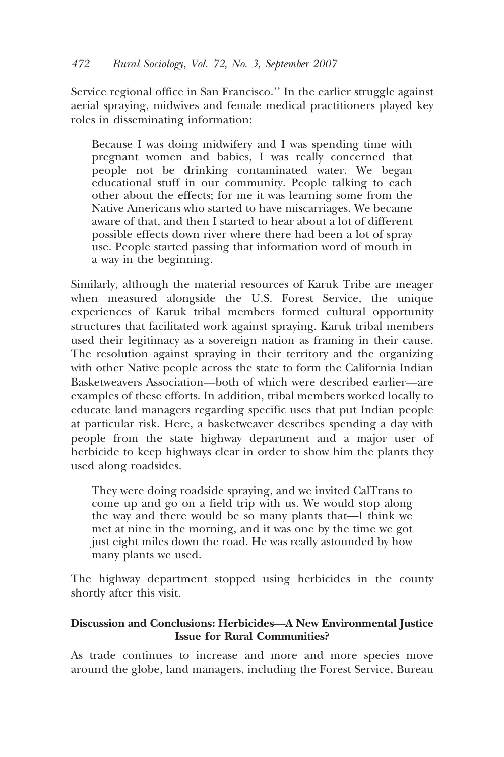Service regional office in San Francisco." In the earlier struggle against aerial spraying, midwives and female medical practitioners played key roles in disseminating information:

Because I was doing midwifery and I was spending time with pregnant women and babies, I was really concerned that people not be drinking contaminated water. We began educational stuff in our community. People talking to each other about the effects; for me it was learning some from the Native Americans who started to have miscarriages. We became aware of that, and then I started to hear about a lot of different possible effects down river where there had been a lot of spray use. People started passing that information word of mouth in a way in the beginning.

Similarly, although the material resources of Karuk Tribe are meager when measured alongside the U.S. Forest Service, the unique experiences of Karuk tribal members formed cultural opportunity structures that facilitated work against spraying. Karuk tribal members used their legitimacy as a sovereign nation as framing in their cause. The resolution against spraying in their territory and the organizing with other Native people across the state to form the California Indian Basketweavers Association-both of which were described earlier-are examples of these efforts. In addition, tribal members worked locally to educate land managers regarding specific uses that put Indian people at particular risk. Here, a basketweaver describes spending a day with people from the state highway department and a major user of herbicide to keep highways clear in order to show him the plants they used along roadsides.

They were doing roadside spraying, and we invited CalTrans to come up and go on a field trip with us. We would stop along the way and there would be so many plants that—I think we met at nine in the morning, and it was one by the time we got just eight miles down the road. He was really astounded by how many plants we used.

The highway department stopped using herbicides in the county shortly after this visit.

## Discussion and Conclusions: Herbicides-A New Environmental Justice **Issue for Rural Communities?**

As trade continues to increase and more and more species move around the globe, land managers, including the Forest Service, Bureau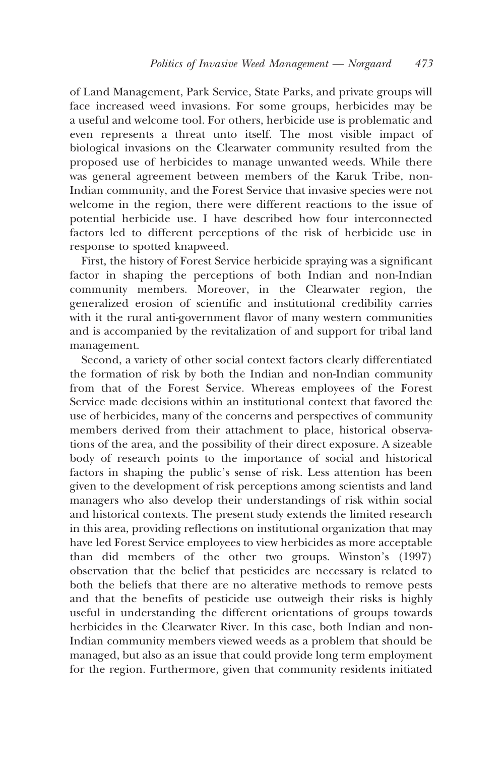of Land Management, Park Service, State Parks, and private groups will face increased weed invasions. For some groups, herbicides may be a useful and welcome tool. For others, herbicide use is problematic and even represents a threat unto itself. The most visible impact of biological invasions on the Clearwater community resulted from the proposed use of herbicides to manage unwanted weeds. While there was general agreement between members of the Karuk Tribe, non-Indian community, and the Forest Service that invasive species were not welcome in the region, there were different reactions to the issue of potential herbicide use. I have described how four interconnected factors led to different perceptions of the risk of herbicide use in response to spotted knapweed.

First, the history of Forest Service herbicide spraying was a significant factor in shaping the perceptions of both Indian and non-Indian community members. Moreover, in the Clearwater region, the generalized erosion of scientific and institutional credibility carries with it the rural anti-government flavor of many western communities and is accompanied by the revitalization of and support for tribal land management.

Second, a variety of other social context factors clearly differentiated the formation of risk by both the Indian and non-Indian community from that of the Forest Service. Whereas employees of the Forest Service made decisions within an institutional context that favored the use of herbicides, many of the concerns and perspectives of community members derived from their attachment to place, historical observations of the area, and the possibility of their direct exposure. A sizeable body of research points to the importance of social and historical factors in shaping the public's sense of risk. Less attention has been given to the development of risk perceptions among scientists and land managers who also develop their understandings of risk within social and historical contexts. The present study extends the limited research in this area, providing reflections on institutional organization that may have led Forest Service employees to view herbicides as more acceptable than did members of the other two groups. Winston's (1997) observation that the belief that pesticides are necessary is related to both the beliefs that there are no alterative methods to remove pests and that the benefits of pesticide use outweigh their risks is highly useful in understanding the different orientations of groups towards herbicides in the Clearwater River. In this case, both Indian and non-Indian community members viewed weeds as a problem that should be managed, but also as an issue that could provide long term employment for the region. Furthermore, given that community residents initiated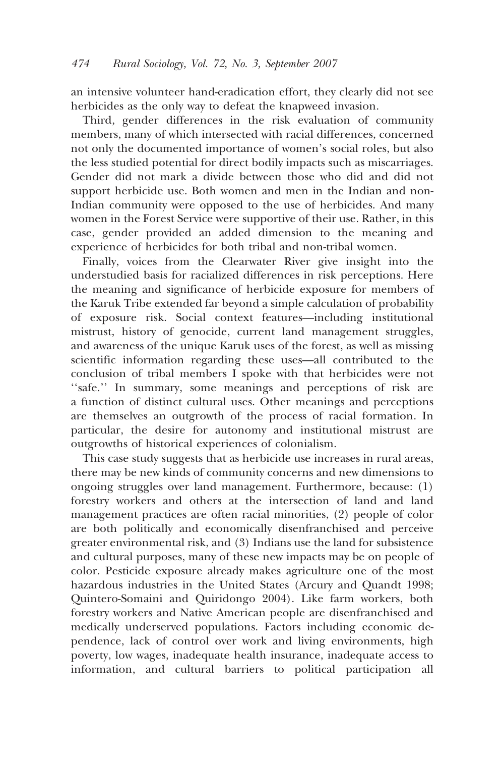an intensive volunteer hand-eradication effort, they clearly did not see herbicides as the only way to defeat the knapweed invasion.

Third, gender differences in the risk evaluation of community members, many of which intersected with racial differences, concerned not only the documented importance of women's social roles, but also the less studied potential for direct bodily impacts such as miscarriages. Gender did not mark a divide between those who did and did not support herbicide use. Both women and men in the Indian and non-Indian community were opposed to the use of herbicides. And many women in the Forest Service were supportive of their use. Rather, in this case, gender provided an added dimension to the meaning and experience of herbicides for both tribal and non-tribal women.

Finally, voices from the Clearwater River give insight into the understudied basis for racialized differences in risk perceptions. Here the meaning and significance of herbicide exposure for members of the Karuk Tribe extended far beyond a simple calculation of probability of exposure risk. Social context features-including institutional mistrust, history of genocide, current land management struggles, and awareness of the unique Karuk uses of the forest, as well as missing scientific information regarding these uses—all contributed to the conclusion of tribal members  $\overrightarrow{I}$  spoke with that herbicides were not "safe." In summary, some meanings and perceptions of risk are a function of distinct cultural uses. Other meanings and perceptions are themselves an outgrowth of the process of racial formation. In particular, the desire for autonomy and institutional mistrust are outgrowths of historical experiences of colonialism.

This case study suggests that as herbicide use increases in rural areas, there may be new kinds of community concerns and new dimensions to ongoing struggles over land management. Furthermore, because: (1) forestry workers and others at the intersection of land and land management practices are often racial minorities, (2) people of color are both politically and economically disenfranchised and perceive greater environmental risk, and (3) Indians use the land for subsistence and cultural purposes, many of these new impacts may be on people of color. Pesticide exposure already makes agriculture one of the most hazardous industries in the United States (Arcury and Ouandt 1998; Quintero-Somaini and Quiridongo 2004). Like farm workers, both forestry workers and Native American people are disenfranchised and medically underserved populations. Factors including economic dependence, lack of control over work and living environments, high poverty, low wages, inadequate health insurance, inadequate access to information, and cultural barriers to political participation all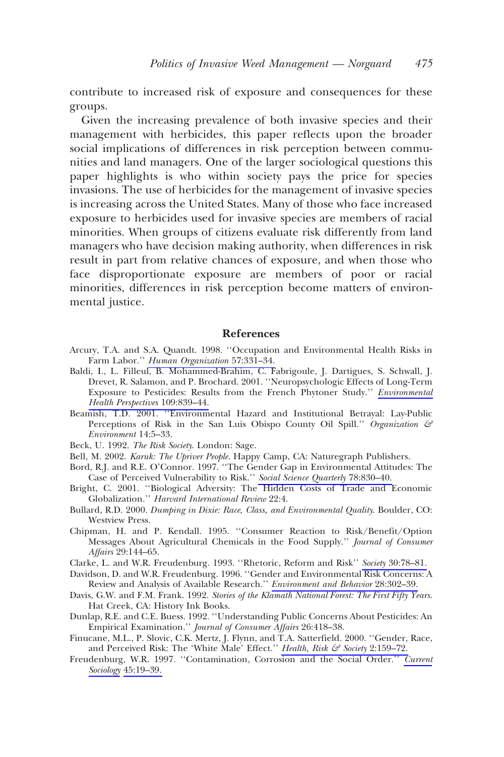contribute to increased risk of exposure and consequences for these groups.

Given the increasing prevalence of both invasive species and their management with herbicides, this paper reflects upon the broader social implications of differences in risk perception between communities and land managers. One of the larger sociological questions this paper highlights is who within society pays the price for species invasions. The use of herbicides for the management of invasive species is increasing across the United States. Many of those who face increased exposure to herbicides used for invasive species are members of racial minorities. When groups of citizens evaluate risk differently from land managers who have decision making authority, when differences in risk result in part from relative chances of exposure, and when those who face disproportionate exposure are members of poor or racial minorities, differences in risk perception become matters of environmental justice.

#### **References**

- Arcury, T.A. and S.A. Quandt. 1998. "Occupation and Environmental Health Risks in Farm Labor." Human Organization 57:331-34.
- Baldi, I., L. Filleul, B. Mohammed-Brahim, C. Fabrigoule, J. Dartigues, S. Schwall, J. Drevet, R. Salamon, and P. Brochard. 2001. "Neuropsychologic Effects of Long-Term Exposure to Pesticides: Results from the French Phytoner Study." Environmental Health Perspectives 109:839-44.
- Beamish, T.D. 2001. "Environmental Hazard and Institutional Betrayal: Lay-Public Perceptions of Risk in the San Luis Obispo County Oil Spill." Organization  $\mathcal{F}$ Environment 14:5-33.
- Beck, U. 1992. The Risk Society, London: Sage.
- Bell, M. 2002. Karuk: The Upriver People. Happy Camp, CA: Naturegraph Publishers.
- Bord, R.J. and R.E. O'Connor. 1997. "The Gender Gap in Environmental Attitudes: The Case of Perceived Vulnerability to Risk." Social Science Quarterly 78:830-40.
- Bright, C. 2001. "Biological Adversity: The Hidden Costs of Trade and Economic Globalization." Harvard International Review 22:4.
- Bullard, R.D. 2000. Dumping in Dixie: Race, Class, and Environmental Quality. Boulder, CO: Westview Press.
- Chipman, H. and P. Kendall. 1995. "Consumer Reaction to Risk/Benefit/Option Messages About Agricultural Chemicals in the Food Supply." Journal of Consumer Affairs 29:144-65.
- Clarke, L. and W.R. Freudenburg. 1993. "Rhetoric, Reform and Risk" Society 30:78-81.
- Davidson, D. and W.R. Freudenburg. 1996. "Gender and Environmental Risk Concerns: A Review and Analysis of Available Research." Environment and Behavior 28:302-39.
- Davis, G.W. and F.M. Frank. 1992. Stories of the Klamath National Forest: The First Fifty Years. Hat Creek, CA: History Ink Books.
- Dunlap, R.E. and C.E. Buess. 1992. "Understanding Public Concerns About Pesticides: An Empirical Examination." Journal of Consumer Affairs 26:418-38.
- Finucane, M.L., P. Slovic, C.K. Mertz, J. Flynn, and T.A. Satterfield. 2000. "Gender, Race, and Perceived Risk: The 'White Male' Effect." Health, Risk & Society 2:159-72.
- Freudenburg, W.R. 1997. "Contamination, Corrosion and the Social Order." Current Sociology 45:19-39.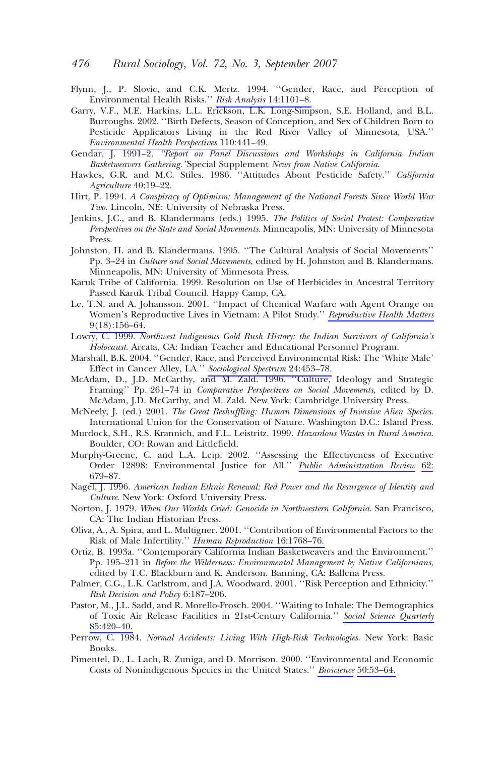- Flynn, J., P. Slovic, and C.K. Mertz. 1994. "Gender, Race, and Perception of Environmental Health Risks." Risk Analysis 14:1101-8.
- Garry, V.F., M.E. Harkins, L.L. Erickson, L.K. Long-Simpson, S.E. Holland, and B.L. Burroughs. 2002. "Birth Defects, Season of Conception, and Sex of Children Born to Pesticide Applicators Living in the Red River Valley of Minnesota, USA." Environmental Health Perspectives 110:441-49.
- Gendar, J. 1991-2. "Report on Panel Discussions and Workshops in California Indian Basketweavers Gathering. 'Special Supplement News from Native California.
- Hawkes, G.R. and M.C. Stiles. 1986. "Attitudes About Pesticide Safety." California Agriculture 40:19-22.
- Hirt, P. 1994. A Conspiracy of Optimism: Management of the National Forests Since World War Two. Lincoln, NE: University of Nebraska Press.
- Jenkins, J.C., and B. Klandermans (eds.) 1995. The Politics of Social Protest: Comparative Perspectives on the State and Social Movements. Minneapolis, MN: University of Minnesota Press.
- Johnston, H. and B. Klandermans. 1995. "The Cultural Analysis of Social Movements" Pp. 3-24 in Culture and Social Movements, edited by H. Johnston and B. Klandermans. Minneapolis, MN: University of Minnesota Press.
- Karuk Tribe of California. 1999. Resolution on Use of Herbicides in Ancestral Territory Passed Karuk Tribal Council. Happy Camp, CA.
- Le, T.N. and A. Johansson. 2001. "Impact of Chemical Warfare with Agent Orange on Women's Reproductive Lives in Vietnam: A Pilot Study." Reproductive Health Matters  $9(18):156-64.$
- Lowry, C. 1999. Northwest Indigenous Gold Rush History: the Indian Survivors of California's Holocaust. Arcata, CA: Indian Teacher and Educational Personnel Program.
- Marshall, B.K. 2004. "Gender, Race, and Perceived Environmental Risk: The 'White Male' Effect in Cancer Alley, LA." Sociological Spectrum 24:453-78.
- McAdam, D., J.D. McCarthy, and M. Zald. 1996. "Culture, Ideology and Strategic Framing" Pp. 261-74 in Comparative Perspectives on Social Movements, edited by D. McAdam, J.D. McCarthy, and M. Zald. New York: Cambridge University Press.
- McNeely, J. (ed.) 2001. The Great Reshuffling: Human Dimensions of Invasive Alien Species. International Union for the Conservation of Nature. Washington D.C.: Island Press.
- Murdock, S.H., R.S. Krannich, and F.L. Leistritz, 1999. Hazardous Wastes in Rural America. Boulder, CO: Rowan and Littlefield.
- Murphy-Greene, C. and L.A. Leip. 2002. "Assessing the Effectiveness of Executive Order 12898: Environmental Justice for All." Public Administration Review 62: 679-87.
- Nagel, J. 1996. American Indian Ethnic Renewal: Red Power and the Resurgence of Identity and Culture. New York: Oxford University Press.
- Norton, J. 1979. When Our Worlds Cried: Genocide in Northwestern California. San Francisco, CA: The Indian Historian Press.
- Oliva, A., A. Spira, and L. Multigner. 2001. "Contribution of Environmental Factors to the Risk of Male Infertility." Human Reproduction 16:1768-76.
- Ortiz, B. 1993a. "Contemporary California Indian Basketweavers and the Environment." Pp. 195-211 in Before the Wilderness: Environmental Management by Native Californians, edited by T.C. Blackburn and K. Anderson. Banning, CA: Ballena Press.
- Palmer, C.G., L.K. Carlstrom, and J.A. Woodward. 2001. "Risk Perception and Ethnicity." Risk Decision and Policy 6:187-206.
- Pastor, M., J.L. Sadd, and R. Morello-Frosch. 2004. "Waiting to Inhale: The Demographics of Toxic Air Release Facilities in 21st-Century California." Social Science Quarterly 85:420-40.
- Perrow, C. 1984. Normal Accidents: Living With High-Risk Technologies. New York: Basic Books.
- Pimentel, D., L. Lach, R. Zuniga, and D. Morrison. 2000. "Environmental and Economic Costs of Nonindigenous Species in the United States." Bioscience 50:53-64.